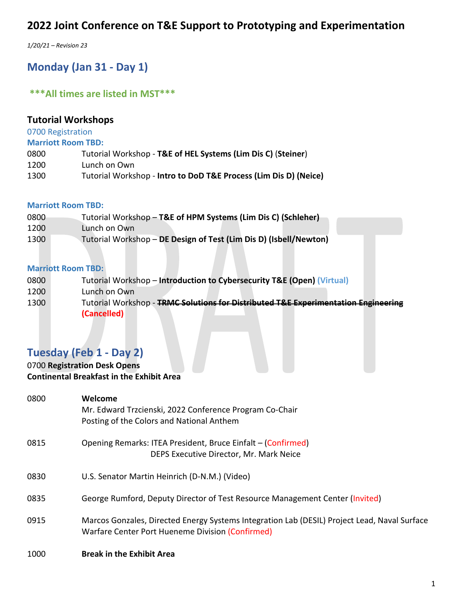*1/20/21 – Revision 23*

# **Monday (Jan 31 - Day 1)**

## **\*\*\*All times are listed in MST\*\*\***

## **Tutorial Workshops**

0700 Registration

**Marriott Room TBD:**

| 0800 | Tutorial Workshop - T&E of HEL Systems (Lim Dis C) (Steiner) |
|------|--------------------------------------------------------------|
| 1200 | Lunch on Own                                                 |

1300 Tutorial Workshop - **Intro to DoD T&E Process (Lim Dis D) (Neice)**

### **Marriott Room TBD:**

| 0800 | Tutorial Workshop - T&E of HPM Systems (Lim Dis C) (Schleher)     |
|------|-------------------------------------------------------------------|
| 1200 | Lunch on Own                                                      |
| 1300 | Tutorial Workshop - DE Design of Test (Lim Dis D) (Isbell/Newton) |

### **Marriott Room TBD:**

| 0800 |  | Tutorial Workshop – Introduction to Cybersecurity T&E (Open) (Virtual) |  |  |  |
|------|--|------------------------------------------------------------------------|--|--|--|
|------|--|------------------------------------------------------------------------|--|--|--|

- 1200 Lunch on Own
- 1300 Tutorial Workshop **TRMC Solutions for Distributed T&E Experimentation Engineering (Cancelled)**

## **Tuesday (Feb 1 - Day 2)**

## 0700 **Registration Desk Opens Continental Breakfast in the Exhibit Area**

| 0800 | Welcome<br>Mr. Edward Trzcienski, 2022 Conference Program Co-Chair<br>Posting of the Colors and National Anthem                                  |
|------|--------------------------------------------------------------------------------------------------------------------------------------------------|
| 0815 | Opening Remarks: ITEA President, Bruce Einfalt – (Confirmed)<br>DEPS Executive Director, Mr. Mark Neice                                          |
| 0830 | U.S. Senator Martin Heinrich (D-N.M.) (Video)                                                                                                    |
| 0835 | George Rumford, Deputy Director of Test Resource Management Center (Invited)                                                                     |
| 0915 | Marcos Gonzales, Directed Energy Systems Integration Lab (DESIL) Project Lead, Naval Surface<br>Warfare Center Port Hueneme Division (Confirmed) |
| 1000 | <b>Break in the Exhibit Area</b>                                                                                                                 |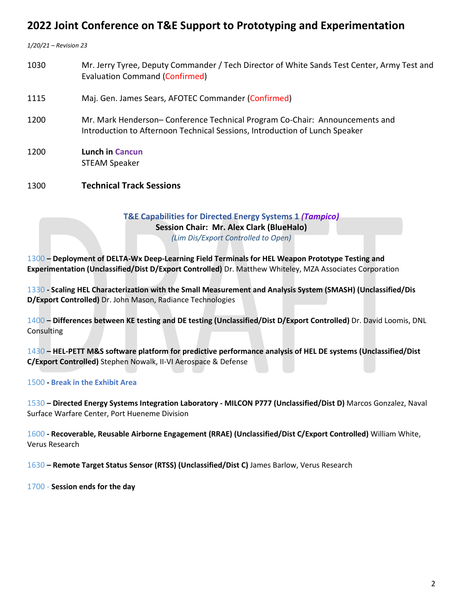*1/20/21 – Revision 23*

 Mr. Jerry Tyree, Deputy Commander / Tech Director of White Sands Test Center, Army Test and Evaluation Command (Confirmed) Maj. Gen. James Sears, AFOTEC Commander (Confirmed) Mr. Mark Henderson– Conference Technical Program Co-Chair: Announcements and Introduction to Afternoon Technical Sessions, Introduction of Lunch Speaker **Lunch in Cancun** STEAM Speaker **Technical Track Sessions**

### **T&E Capabilities for Directed Energy Systems 1** *(Tampico)* **Session Chair: Mr. Alex Clark (BlueHalo)** *(Lim Dis/Export Controlled to Open)*

1300 **– Deployment of DELTA-Wx Deep-Learning Field Terminals for HEL Weapon Prototype Testing and Experimentation (Unclassified/Dist D/Export Controlled)** Dr. Matthew Whiteley, MZA Associates Corporation

1330 **- Scaling HEL Characterization with the Small Measurement and Analysis System (SMASH) (Unclassified/Dis D/Export Controlled)** Dr. John Mason, Radiance Technologies

1400 **– Differences between KE testing and DE testing (Unclassified/Dist D/Export Controlled)** Dr. David Loomis, DNL Consulting

1430 **– HEL-PETT M&S software platform for predictive performance analysis of HEL DE systems (Unclassified/Dist C/Export Controlled)** Stephen Nowalk, II-VI Aerospace & Defense

### 1500 **- Break in the Exhibit Area**

1530 **– Directed Energy Systems Integration Laboratory - MILCON P777 (Unclassified/Dist D)** Marcos Gonzalez, Naval Surface Warfare Center, Port Hueneme Division

1600 **- Recoverable, Reusable Airborne Engagement (RRAE) (Unclassified/Dist C/Export Controlled)** William White, Verus Research

1630 **– Remote Target Status Sensor (RTSS) (Unclassified/Dist C)** James Barlow, Verus Research

1700 - **Session ends for the day**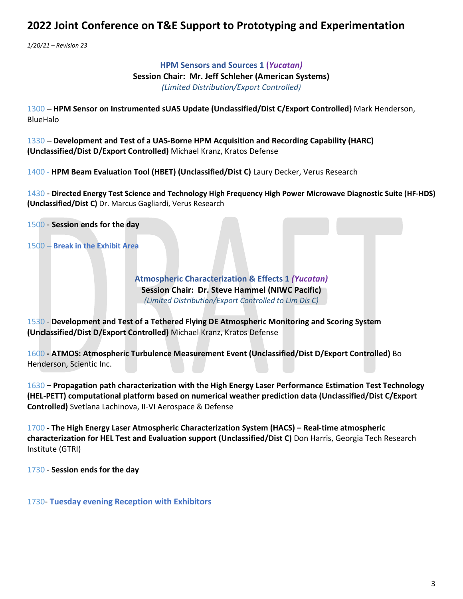*1/20/21 – Revision 23*

**HPM Sensors and Sources 1 (***Yucatan)* **Session Chair: Mr. Jeff Schleher (American Systems)** *(Limited Distribution/Export Controlled)*

1300 – **HPM Sensor on Instrumented sUAS Update (Unclassified/Dist C/Export Controlled)** Mark Henderson, BlueHalo

1330 – **Development and Test of a UAS-Borne HPM Acquisition and Recording Capability (HARC) (Unclassified/Dist D/Export Controlled)** Michael Kranz, Kratos Defense

1400 - **HPM Beam Evaluation Tool (HBET) (Unclassified/Dist C)** Laury Decker, Verus Research

1430 - **Directed Energy Test Science and Technology High Frequency High Power Microwave Diagnostic Suite (HF-HDS) (Unclassified/Dist C)** Dr. Marcus Gagliardi, Verus Research

1500 - **Session ends for the day**

1500 – **Break in the Exhibit Area**

**Atmospheric Characterization & Effects 1** *(Yucatan)* **Session Chair: Dr. Steve Hammel (NIWC Pacific)** *(Limited Distribution/Export Controlled to Lim Dis C)*

1530 - **Development and Test of a Tethered Flying DE Atmospheric Monitoring and Scoring System (Unclassified/Dist D/Export Controlled)** Michael Kranz, Kratos Defense

1600 **- ATMOS: Atmospheric Turbulence Measurement Event (Unclassified/Dist D/Export Controlled)** Bo Henderson, Scientic Inc.

1630 **– Propagation path characterization with the High Energy Laser Performance Estimation Test Technology (HEL-PETT) computational platform based on numerical weather prediction data (Unclassified/Dist C/Export Controlled)** Svetlana Lachinova, II-VI Aerospace & Defense

1700 **- The High Energy Laser Atmospheric Characterization System (HACS) – Real-time atmospheric characterization for HEL Test and Evaluation support (Unclassified/Dist C)** Don Harris, Georgia Tech Research Institute (GTRI)

1730 - **Session ends for the day**

1730- **Tuesday evening Reception with Exhibitors**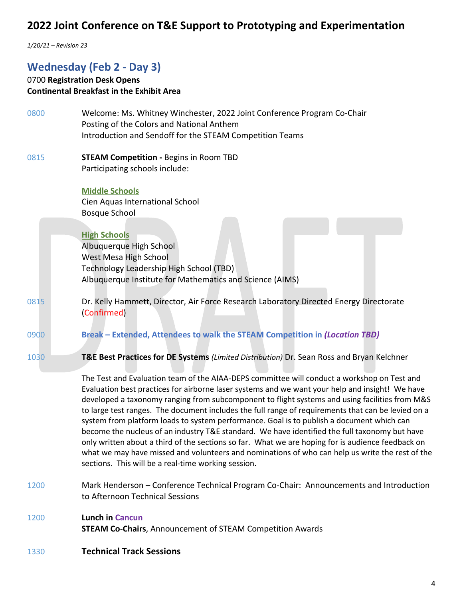*1/20/21 – Revision 23*

## **Wednesday (Feb 2 - Day 3)**

# 0700 **Registration Desk Opens Continental Breakfast in the Exhibit Area**

| 0800 | Welcome: Ms. Whitney Winchester, 2022 Joint Conference Program Co-Chair<br>Posting of the Colors and National Anthem                                                                                                                                                                                                                                                                                                                                                                                                                                                                                                                                                                                                                                                                                                                                                |
|------|---------------------------------------------------------------------------------------------------------------------------------------------------------------------------------------------------------------------------------------------------------------------------------------------------------------------------------------------------------------------------------------------------------------------------------------------------------------------------------------------------------------------------------------------------------------------------------------------------------------------------------------------------------------------------------------------------------------------------------------------------------------------------------------------------------------------------------------------------------------------|
|      | Introduction and Sendoff for the STEAM Competition Teams                                                                                                                                                                                                                                                                                                                                                                                                                                                                                                                                                                                                                                                                                                                                                                                                            |
| 0815 | <b>STEAM Competition - Begins in Room TBD</b>                                                                                                                                                                                                                                                                                                                                                                                                                                                                                                                                                                                                                                                                                                                                                                                                                       |
|      | Participating schools include:                                                                                                                                                                                                                                                                                                                                                                                                                                                                                                                                                                                                                                                                                                                                                                                                                                      |
|      | <b>Middle Schools</b><br>Cien Aquas International School                                                                                                                                                                                                                                                                                                                                                                                                                                                                                                                                                                                                                                                                                                                                                                                                            |
|      | <b>Bosque School</b>                                                                                                                                                                                                                                                                                                                                                                                                                                                                                                                                                                                                                                                                                                                                                                                                                                                |
|      | <b>High Schools</b>                                                                                                                                                                                                                                                                                                                                                                                                                                                                                                                                                                                                                                                                                                                                                                                                                                                 |
|      | Albuquerque High School<br>West Mesa High School                                                                                                                                                                                                                                                                                                                                                                                                                                                                                                                                                                                                                                                                                                                                                                                                                    |
|      | Technology Leadership High School (TBD)                                                                                                                                                                                                                                                                                                                                                                                                                                                                                                                                                                                                                                                                                                                                                                                                                             |
|      | Albuquerque Institute for Mathematics and Science (AIMS)                                                                                                                                                                                                                                                                                                                                                                                                                                                                                                                                                                                                                                                                                                                                                                                                            |
| 0815 | Dr. Kelly Hammett, Director, Air Force Research Laboratory Directed Energy Directorate                                                                                                                                                                                                                                                                                                                                                                                                                                                                                                                                                                                                                                                                                                                                                                              |
|      | (Confirmed)                                                                                                                                                                                                                                                                                                                                                                                                                                                                                                                                                                                                                                                                                                                                                                                                                                                         |
| 0900 | Break - Extended, Attendees to walk the STEAM Competition in (Location TBD)                                                                                                                                                                                                                                                                                                                                                                                                                                                                                                                                                                                                                                                                                                                                                                                         |
| 1030 | T&E Best Practices for DE Systems (Limited Distribution) Dr. Sean Ross and Bryan Kelchner                                                                                                                                                                                                                                                                                                                                                                                                                                                                                                                                                                                                                                                                                                                                                                           |
|      | The Test and Evaluation team of the AIAA-DEPS committee will conduct a workshop on Test and<br>Evaluation best practices for airborne laser systems and we want your help and insight! We have<br>developed a taxonomy ranging from subcomponent to flight systems and using facilities from M&S<br>to large test ranges. The document includes the full range of requirements that can be levied on a<br>system from platform loads to system performance. Goal is to publish a document which can<br>become the nucleus of an industry T&E standard. We have identified the full taxonomy but have<br>only written about a third of the sections so far. What we are hoping for is audience feedback on<br>what we may have missed and volunteers and nominations of who can help us write the rest of the<br>sections. This will be a real-time working session. |
| 1200 | Mark Henderson – Conference Technical Program Co-Chair: Announcements and Introduction<br>to Afternoon Technical Sessions                                                                                                                                                                                                                                                                                                                                                                                                                                                                                                                                                                                                                                                                                                                                           |
| 1200 | <b>Lunch in Cancun</b><br><b>STEAM Co-Chairs, Announcement of STEAM Competition Awards</b>                                                                                                                                                                                                                                                                                                                                                                                                                                                                                                                                                                                                                                                                                                                                                                          |

1330 **Technical Track Sessions**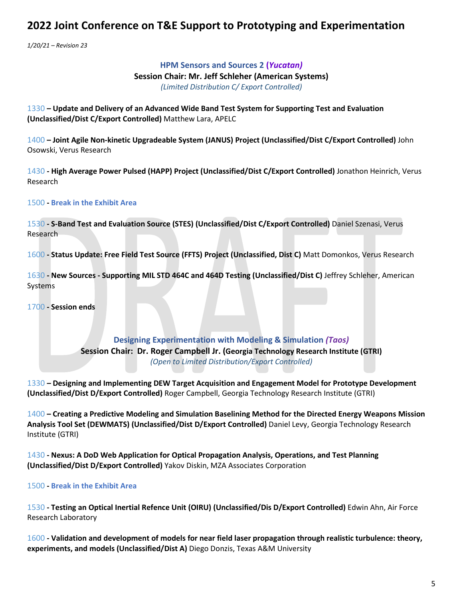*1/20/21 – Revision 23*

## **HPM Sensors and Sources 2 (***Yucatan)* **Session Chair: Mr. Jeff Schleher (American Systems)** *(Limited Distribution C/ Export Controlled)*

1330 **– Update and Delivery of an Advanced Wide Band Test System for Supporting Test and Evaluation (Unclassified/Dist C/Export Controlled)** Matthew Lara, APELC

1400 **– Joint Agile Non-kinetic Upgradeable System (JANUS) Project (Unclassified/Dist C/Export Controlled)** John Osowski, Verus Research

1430 **- High Average Power Pulsed (HAPP) Project (Unclassified/Dist C/Export Controlled)** Jonathon Heinrich, Verus Research

### 1500 **- Break in the Exhibit Area**

1530 **- S-Band Test and Evaluation Source (STES) (Unclassified/Dist C/Export Controlled)** Daniel Szenasi, Verus Research

1600 **- Status Update: Free Field Test Source (FFTS) Project (Unclassified, Dist C)** Matt Domonkos, Verus Research

1630 **- New Sources - Supporting MIL STD 464C and 464D Testing (Unclassified/Dist C)** Jeffrey Schleher, American Systems

1700 **- Session ends**

**Designing Experimentation with Modeling & Simulation** *(Taos)* **Session Chair: Dr. Roger Campbell Jr. (Georgia Technology Research Institute (GTRI)** *(Open to Limited Distribution/Export Controlled)*

1330 *–* **Designing and Implementing DEW Target Acquisition and Engagement Model for Prototype Development (Unclassified/Dist D/Export Controlled)** Roger Campbell, Georgia Technology Research Institute (GTRI)

1400 **– Creating a Predictive Modeling and Simulation Baselining Method for the Directed Energy Weapons Mission Analysis Tool Set (DEWMATS) (Unclassified/Dist D/Export Controlled)** Daniel Levy, Georgia Technology Research Institute (GTRI)

1430 **- Nexus: A DoD Web Application for Optical Propagation Analysis, Operations, and Test Planning (Unclassified/Dist D/Export Controlled)** Yakov Diskin, MZA Associates Corporation

#### 1500 **- Break in the Exhibit Area**

1530 **- Testing an Optical Inertial Refence Unit (OIRU) (Unclassified/Dis D/Export Controlled)** Edwin Ahn, Air Force Research Laboratory

1600 **- Validation and development of models for near field laser propagation through realistic turbulence: theory, experiments, and models (Unclassified/Dist A)** Diego Donzis, Texas A&M University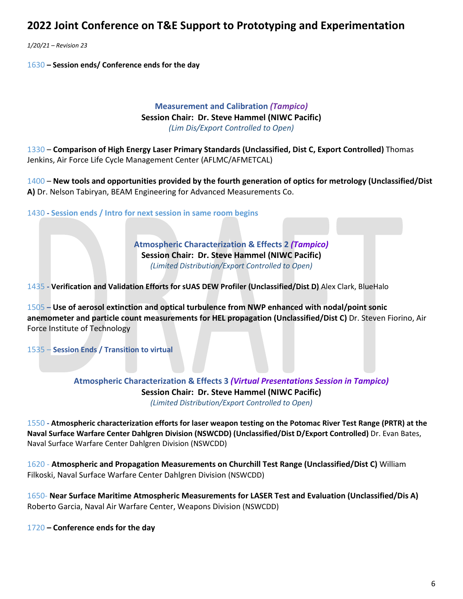*1/20/21 – Revision 23*

1630 **– Session ends/ Conference ends for the day**

### **Measurement and Calibration** *(Tampico)* **Session Chair: Dr. Steve Hammel (NIWC Pacific)** *(Lim Dis/Export Controlled to Open)*

1330 – **Comparison of High Energy Laser Primary Standards (Unclassified, Dist C, Export Controlled)** Thomas Jenkins, Air Force Life Cycle Management Center (AFLMC/AFMETCAL)

1400 – **New tools and opportunities provided by the fourth generation of optics for metrology (Unclassified/Dist A)** Dr. Nelson Tabiryan, BEAM Engineering for Advanced Measurements Co.

1430 **- Session ends / Intro for next session in same room begins**

**Atmospheric Characterization & Effects 2** *(Tampico)* **Session Chair: Dr. Steve Hammel (NIWC Pacific)** *(Limited Distribution/Export Controlled to Open)*

1435 **- Verification and Validation Efforts for sUAS DEW Profiler (Unclassified/Dist D)** Alex Clark, BlueHalo

1505 **– Use of aerosol extinction and optical turbulence from NWP enhanced with nodal/point sonic anemometer and particle count measurements for HEL propagation (Unclassified/Dist C)** Dr. Steven Fiorino, Air Force Institute of Technology

1535 – **Session Ends / Transition to virtual**

**Atmospheric Characterization & Effects 3** *(Virtual Presentations Session in Tampico)* **Session Chair: Dr. Steve Hammel (NIWC Pacific)** *(Limited Distribution/Export Controlled to Open)*

1550 **- Atmospheric characterization efforts for laser weapon testing on the Potomac River Test Range (PRTR) at the Naval Surface Warfare Center Dahlgren Division (NSWCDD) (Unclassified/Dist D/Export Controlled)** Dr. Evan Bates, Naval Surface Warfare Center Dahlgren Division (NSWCDD)

1620 - **Atmospheric and Propagation Measurements on Churchill Test Range (Unclassified/Dist C)** William Filkoski, Naval Surface Warfare Center Dahlgren Division (NSWCDD)

1650- **Near Surface Maritime Atmospheric Measurements for LASER Test and Evaluation (Unclassified/Dis A)** Roberto Garcia, Naval Air Warfare Center, Weapons Division (NSWCDD)

1720 **– Conference ends for the day**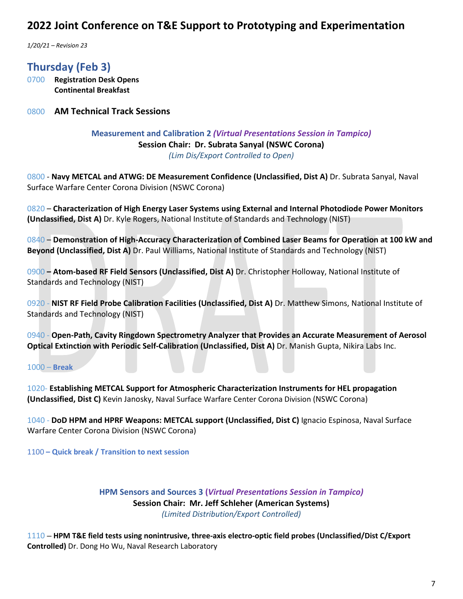*1/20/21 – Revision 23*

**Thursday (Feb 3)**

0700 **Registration Desk Opens Continental Breakfast** 

0800 **AM Technical Track Sessions**

**Measurement and Calibration 2** *(Virtual Presentations Session in Tampico)* **Session Chair: Dr. Subrata Sanyal (NSWC Corona)** *(Lim Dis/Export Controlled to Open)*

0800 - **Navy METCAL and ATWG: DE Measurement Confidence (Unclassified, Dist A)** Dr. Subrata Sanyal, Naval Surface Warfare Center Corona Division (NSWC Corona)

0820 – **Characterization of High Energy Laser Systems using External and Internal Photodiode Power Monitors (Unclassified, Dist A)** Dr. Kyle Rogers, National Institute of Standards and Technology (NIST)

0840 – **Demonstration of High-Accuracy Characterization of Combined Laser Beams for Operation at 100 kW and Beyond (Unclassified, Dist A)** Dr. Paul Williams, National Institute of Standards and Technology (NIST)

0900 **– Atom-based RF Field Sensors (Unclassified, Dist A)** Dr. Christopher Holloway, National Institute of Standards and Technology (NIST)

0920 - **NIST RF Field Probe Calibration Facilities (Unclassified, Dist A)** Dr. Matthew Simons, National Institute of Standards and Technology (NIST)

0940 - **Open-Path, Cavity Ringdown Spectrometry Analyzer that Provides an Accurate Measurement of Aerosol Optical Extinction with Periodic Self-Calibration (Unclassified, Dist A)** Dr. Manish Gupta, Nikira Labs Inc.

1000 – **Break**

1020- **Establishing METCAL Support for Atmospheric Characterization Instruments for HEL propagation (Unclassified, Dist C)** Kevin Janosky, Naval Surface Warfare Center Corona Division (NSWC Corona)

1040 - **DoD HPM and HPRF Weapons: METCAL support (Unclassified, Dist C)** Ignacio Espinosa, Naval Surface Warfare Center Corona Division (NSWC Corona)

1100 **– Quick break / Transition to next session**

**HPM Sensors and Sources 3 (***Virtual Presentations Session in Tampico)* **Session Chair: Mr. Jeff Schleher (American Systems)** *(Limited Distribution/Export Controlled)*

1110 – **HPM T&E field tests using nonintrusive, three-axis electro-optic field probes (Unclassified/Dist C/Export Controlled)** Dr. Dong Ho Wu, Naval Research Laboratory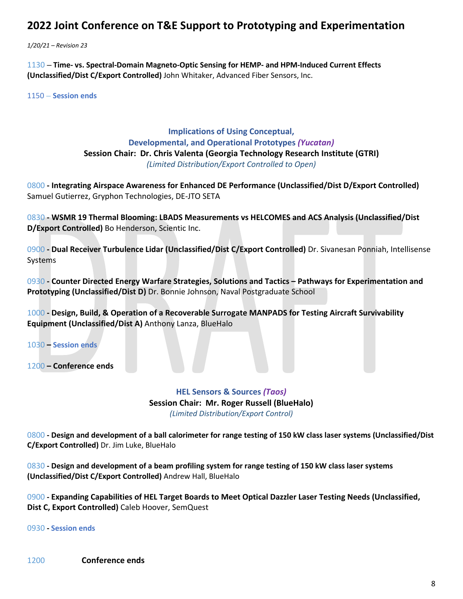*1/20/21 – Revision 23*

1130 – **Time- vs. Spectral-Domain Magneto-Optic Sensing for HEMP- and HPM-Induced Current Effects (Unclassified/Dist C/Export Controlled)** John Whitaker, Advanced Fiber Sensors, Inc.

1150 – **Session ends**

### **Implications of Using Conceptual, Developmental, and Operational Prototypes** *(Yucatan)* **Session Chair: Dr. Chris Valenta (Georgia Technology Research Institute (GTRI)** *(Limited Distribution/Export Controlled to Open)*

0800 **- Integrating Airspace Awareness for Enhanced DE Performance (Unclassified/Dist D/Export Controlled)**  Samuel Gutierrez, Gryphon Technologies, DE-JTO SETA

0830 **- WSMR 19 Thermal Blooming: LBADS Measurements vs HELCOMES and ACS Analysis (Unclassified/Dist D/Export Controlled)** Bo Henderson, Scientic Inc.

0900 **- Dual Receiver Turbulence Lidar (Unclassified/Dist C/Export Controlled)** Dr. Sivanesan Ponniah, Intellisense Systems

0930 **- Counter Directed Energy Warfare Strategies, Solutions and Tactics – Pathways for Experimentation and Prototyping (Unclassified/Dist D)** Dr. Bonnie Johnson, Naval Postgraduate School

1000 **- Design, Build, & Operation of a Recoverable Surrogate MANPADS for Testing Aircraft Survivability Equipment (Unclassified/Dist A)** Anthony Lanza, BlueHalo

1030 **– Session ends**

1200 **– Conference ends**

### **HEL Sensors & Sources** *(Taos)* **Session Chair: Mr. Roger Russell (BlueHalo)** *(Limited Distribution/Export Control)*

0800 **- Design and development of a ball calorimeter for range testing of 150 kW class laser systems (Unclassified/Dist C/Export Controlled)** Dr. Jim Luke, BlueHalo

0830 **- Design and development of a beam profiling system for range testing of 150 kW class laser systems (Unclassified/Dist C/Export Controlled)** Andrew Hall, BlueHalo

0900 **- Expanding Capabilities of HEL Target Boards to Meet Optical Dazzler Laser Testing Needs (Unclassified, Dist C, Export Controlled)** Caleb Hoover, SemQuest

0930 **- Session ends**

1200 **Conference ends**